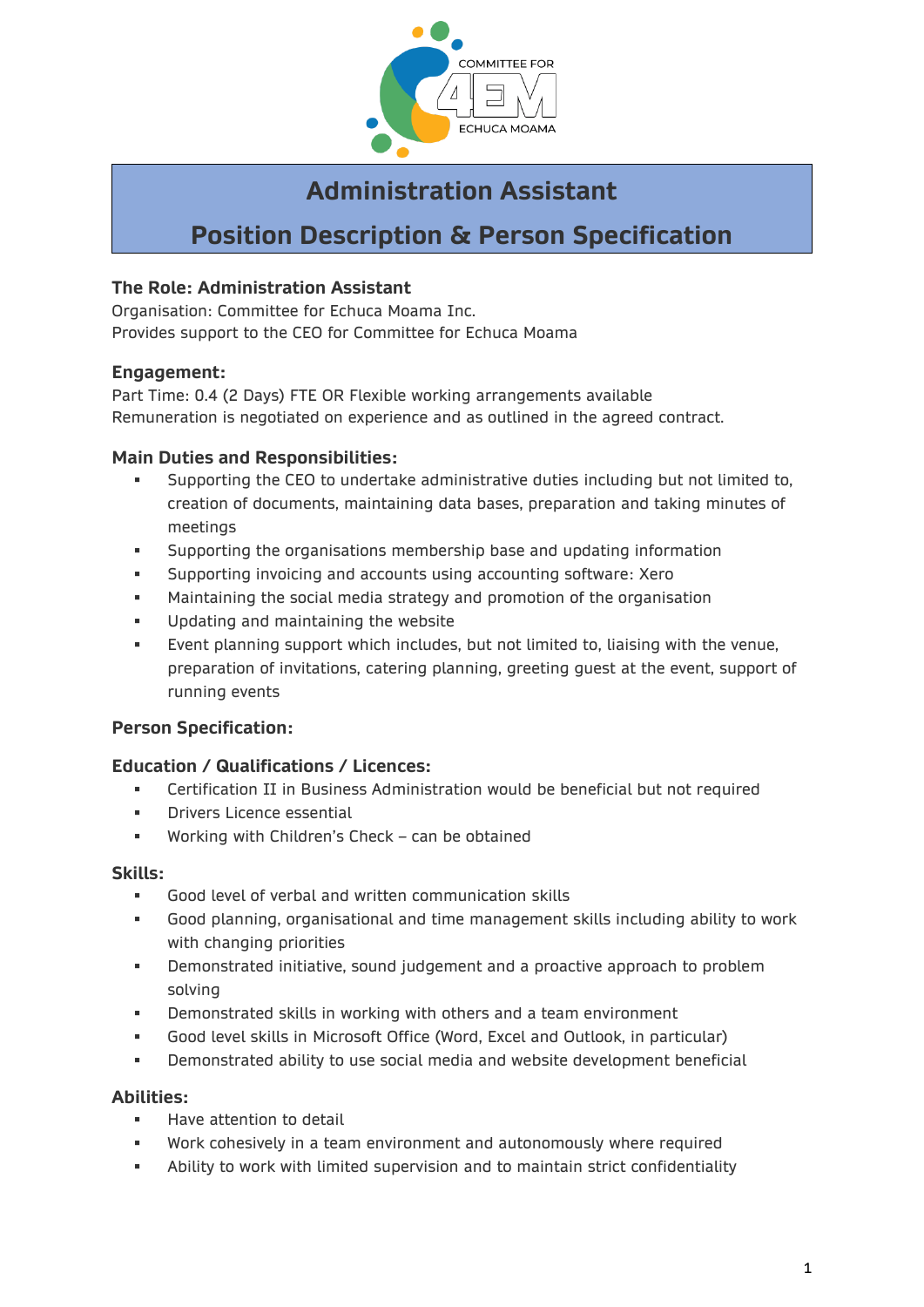

# **Administration Assistant**

# **Position Description & Person Specification**

# **The Role: Administration Assistant**

Organisation: Committee for Echuca Moama Inc. Provides support to the CEO for Committee for Echuca Moama

## **Engagement:**

Part Time: 0.4 (2 Days) FTE OR Flexible working arrangements available Remuneration is negotiated on experience and as outlined in the agreed contract.

## **Main Duties and Responsibilities:**

- Supporting the CEO to undertake administrative duties including but not limited to, creation of documents, maintaining data bases, preparation and taking minutes of meetings
- Supporting the organisations membership base and updating information
- Supporting invoicing and accounts using accounting software: Xero
- **■** Maintaining the social media strategy and promotion of the organisation
- **■** Updating and maintaining the website
- Event planning support which includes, but not limited to, liaising with the venue, preparation of invitations, catering planning, greeting guest at the event, support of running events

## **Person Specification:**

## **Education / Qualifications / Licences:**

- Certification II in Business Administration would be beneficial but not required
- **Drivers Licence essential**
- Working with Children's Check can be obtained

#### **Skills:**

- Good level of verbal and written communication skills
- Good planning, organisational and time management skills including ability to work with changing priorities
- Demonstrated initiative, sound judgement and a proactive approach to problem solving
- Demonstrated skills in working with others and a team environment
- Good level skills in Microsoft Office (Word, Excel and Outlook, in particular)
- **EXEDENT** Demonstrated ability to use social media and website development beneficial

## **Abilities:**

- Have attention to detail
- Work cohesively in a team environment and autonomously where required
- Ability to work with limited supervision and to maintain strict confidentiality